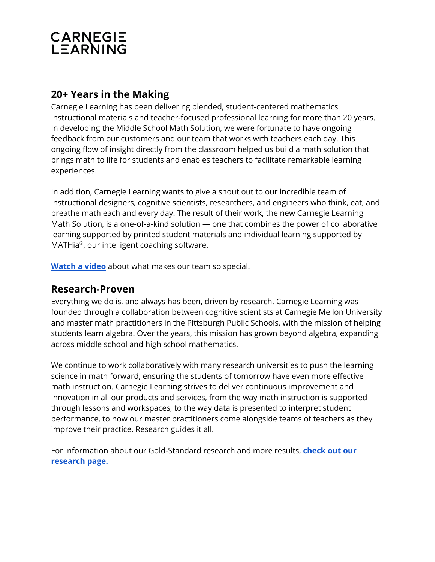## CARNEGIE<br>LEARNING

### **20+ Years in the Making**

Carnegie Learning has been delivering blended, student-centered mathematics instructional materials and teacher-focused professional learning for more than 20 years. In developing the Middle School Math Solution, we were fortunate to have ongoing feedback from our customers and our team that works with teachers each day. This ongoing flow of insight directly from the classroom helped us build a math solution that brings math to life for students and enables teachers to facilitate remarkable learning experiences.

In addition, Carnegie Learning wants to give a shout out to our incredible team of instructional designers, cognitive scientists, researchers, and engineers who think, eat, and breathe math each and every day. The result of their work, the new Carnegie Learning Math Solution, is a one-of-a-kind solution — one that combines the power of collaborative learning supported by printed student materials and individual learning supported by MATHia ® , our intelligent coaching software.

**[Watch](https://www.carnegielearning.com/products/our-products/overview/) a video** about what makes our team so special.

#### **Research-Proven**

Everything we do is, and always has been, driven by research. Carnegie Learning was founded through a collaboration between cognitive scientists at Carnegie Mellon University and master math practitioners in the Pittsburgh Public Schools, with the mission of helping students learn algebra. Over the years, this mission has grown beyond algebra, expanding across middle school and high school mathematics.

We continue to work collaboratively with many research universities to push the learning science in math forward, ensuring the students of tomorrow have even more effective math instruction. Carnegie Learning strives to deliver continuous improvement and innovation in all our products and services, from the way math instruction is supported through lessons and workspaces, to the way data is presented to interpret student performance, to how our master practitioners come alongside teams of teachers as they improve their practice. Research guides it all.

For information about our Gold-Standard research and more results, **[check](https://www.carnegielearning.com/why/research/) out our [research](https://www.carnegielearning.com/why/research/) page.**